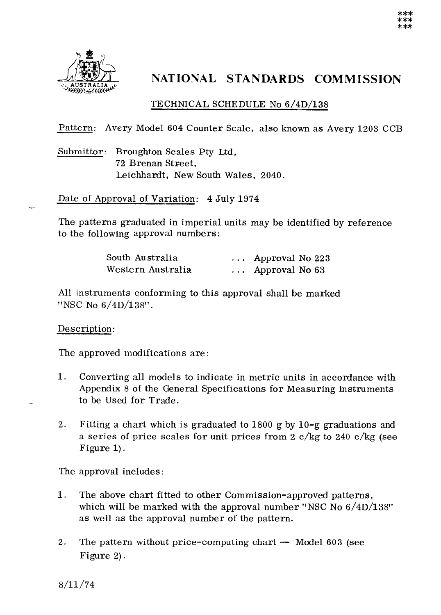

## NATIONAL STANDARDS COMMISSION

## TECHNICAL SCHEDULE No 6/4D/138

Pattern: Avery Model 604 Counter Scale, also known as Avery 1203 CCB

Submittor: Broughton Scales Pty Ltd, 72 Brenan Street, Leichhardt, New South Wales, 2040.

Date of Approval of Variation: 4 July 1974

The patterns graduated in imperial units may be identified by reference to the following approval numbers:

| South Australia   | $\ldots$ Approval No 223 |  |
|-------------------|--------------------------|--|
| Western Australia | $\ldots$ Approval No 63  |  |

All instruments conforming to this approval shall be marked "NSC No 6/4D/138".

Description:

The approved modifications are :

- 1. Converting all models to indicate in metric units in accordance with Appendix 8 of the General Specifications for Measuring Instruments to be Used for Trade.
- 2. Fitting a chart which is graduated to 1800 g by  $10-\text{g}$  graduations and a series of price scales for unit prices from 2  $c/kg$  to 240  $c/kg$  (see Figure 1).

The approval includes :

- 1. The above chart fitted to other Commission-approved patterns, which will be marked with the approval number "NSC No  $6/4D/138$ " as well as the approval number of the pattern.
- 2. The pattern without price-computing chart  $-$  Model 603 (see Figure 2).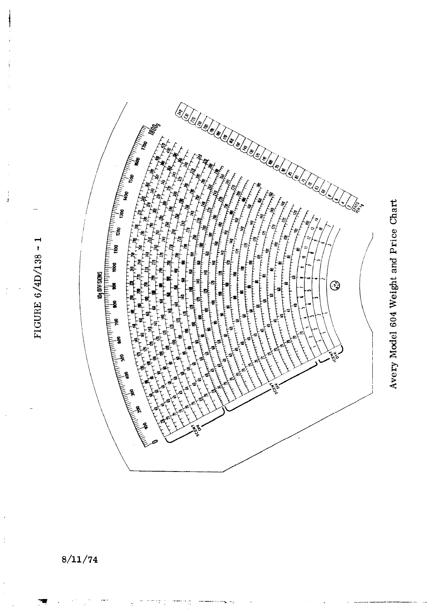

Avery Model 604 Weight and Price Chart

## $8/11/74$

FIGURE 6/4D/138 - 1

j